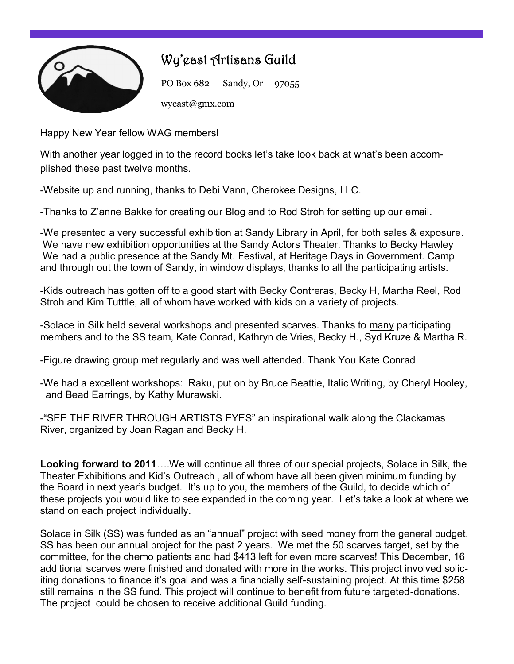

## Wy'east Artisans Guild

PO Box 682 Sandy, Or 97055 wyeast@gmx.com

Happy New Year fellow WAG members!

With another year logged in to the record books let's take look back at what's been accomplished these past twelve months.

-Website up and running, thanks to Debi Vann, Cherokee Designs, LLC.

-Thanks to Z'anne Bakke for creating our Blog and to Rod Stroh for setting up our email.

-We presented a very successful exhibition at Sandy Library in April, for both sales & exposure. We have new exhibition opportunities at the Sandy Actors Theater. Thanks to Becky Hawley We had a public presence at the Sandy Mt. Festival, at Heritage Days in Government. Camp and through out the town of Sandy, in window displays, thanks to all the participating artists.

-Kids outreach has gotten off to a good start with Becky Contreras, Becky H, Martha Reel, Rod Stroh and Kim Tutttle, all of whom have worked with kids on a variety of projects.

-Solace in Silk held several workshops and presented scarves. Thanks to many participating members and to the SS team, Kate Conrad, Kathryn de Vries, Becky H., Syd Kruze & Martha R.

-Figure drawing group met regularly and was well attended. Thank You Kate Conrad

-We had a excellent workshops: Raku, put on by Bruce Beattie, Italic Writing, by Cheryl Hooley, and Bead Earrings, by Kathy Murawski.

-"SEE THE RIVER THROUGH ARTISTS EYES" an inspirational walk along the Clackamas River, organized by Joan Ragan and Becky H.

**Looking forward to 2011**….We will continue all three of our special projects, Solace in Silk, the Theater Exhibitions and Kid's Outreach , all of whom have all been given minimum funding by the Board in next year's budget. It's up to you, the members of the Guild, to decide which of these projects you would like to see expanded in the coming year. Let's take a look at where we stand on each project individually.

Solace in Silk (SS) was funded as an "annual" project with seed money from the general budget. SS has been our annual project for the past 2 years. We met the 50 scarves target, set by the committee, for the chemo patients and had \$413 left for even more scarves! This December, 16 additional scarves were finished and donated with more in the works. This project involved soliciting donations to finance it's goal and was a financially self-sustaining project. At this time \$258 still remains in the SS fund. This project will continue to benefit from future targeted-donations. The project could be chosen to receive additional Guild funding.